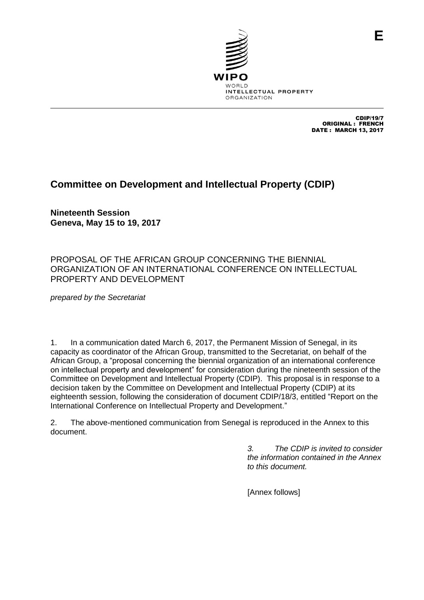

CDIP/19/7 ORIGINAL : FRENCH DATE : MARCH 13, 2017

**E**

# **Committee on Development and Intellectual Property (CDIP)**

**Nineteenth Session Geneva, May 15 to 19, 2017**

PROPOSAL OF THE AFRICAN GROUP CONCERNING THE BIENNIAL ORGANIZATION OF AN INTERNATIONAL CONFERENCE ON INTELLECTUAL PROPERTY AND DEVELOPMENT

*prepared by the Secretariat*

1. In a communication dated March 6, 2017, the Permanent Mission of Senegal, in its capacity as coordinator of the African Group, transmitted to the Secretariat, on behalf of the African Group, a "proposal concerning the biennial organization of an international conference on intellectual property and development" for consideration during the nineteenth session of the Committee on Development and Intellectual Property (CDIP). This proposal is in response to a decision taken by the Committee on Development and Intellectual Property (CDIP) at its eighteenth session, following the consideration of document CDIP/18/3, entitled "Report on the International Conference on Intellectual Property and Development."

2. The above-mentioned communication from Senegal is reproduced in the Annex to this document.

> *3. The CDIP is invited to consider the information contained in the Annex to this document.*

[Annex follows]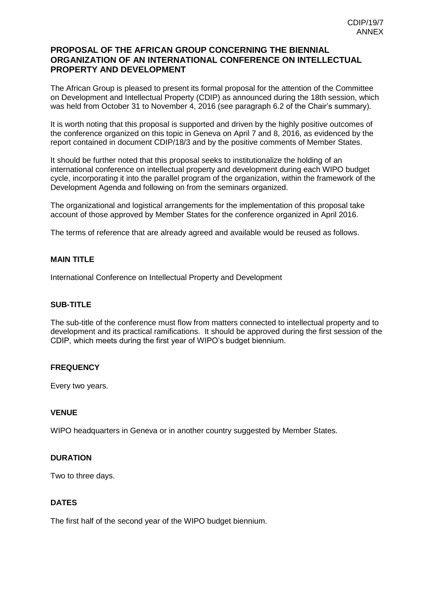# **PROPOSAL OF THE AFRICAN GROUP CONCERNING THE BIENNIAL ORGANIZATION OF AN INTERNATIONAL CONFERENCE ON INTELLECTUAL PROPERTY AND DEVELOPMENT**

The African Group is pleased to present its formal proposal for the attention of the Committee on Development and Intellectual Property (CDIP) as announced during the 18th session, which was held from October 31 to November 4, 2016 (see paragraph 6.2 of the Chair's summary).

It is worth noting that this proposal is supported and driven by the highly positive outcomes of the conference organized on this topic in Geneva on April 7 and 8, 2016, as evidenced by the report contained in document CDIP/18/3 and by the positive comments of Member States.

It should be further noted that this proposal seeks to institutionalize the holding of an international conference on intellectual property and development during each WIPO budget cycle, incorporating it into the parallel program of the organization, within the framework of the Development Agenda and following on from the seminars organized.

The organizational and logistical arrangements for the implementation of this proposal take account of those approved by Member States for the conference organized in April 2016.

The terms of reference that are already agreed and available would be reused as follows.

# **MAIN TITLE**

International Conference on Intellectual Property and Development

### **SUB-TITLE**

The sub-title of the conference must flow from matters connected to intellectual property and to development and its practical ramifications. It should be approved during the first session of the CDIP, which meets during the first year of WIPO's budget biennium.

### **FREQUENCY**

Every two years.

#### **VENUE**

WIPO headquarters in Geneva or in another country suggested by Member States.

### **DURATION**

Two to three days.

### **DATES**

The first half of the second year of the WIPO budget biennium.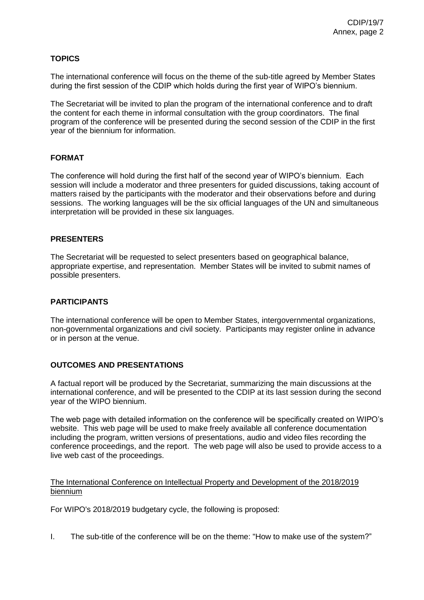# **TOPICS**

The international conference will focus on the theme of the sub-title agreed by Member States during the first session of the CDIP which holds during the first year of WIPO's biennium.

The Secretariat will be invited to plan the program of the international conference and to draft the content for each theme in informal consultation with the group coordinators. The final program of the conference will be presented during the second session of the CDIP in the first year of the biennium for information.

# **FORMAT**

The conference will hold during the first half of the second year of WIPO's biennium. Each session will include a moderator and three presenters for guided discussions, taking account of matters raised by the participants with the moderator and their observations before and during sessions. The working languages will be the six official languages of the UN and simultaneous interpretation will be provided in these six languages.

### **PRESENTERS**

The Secretariat will be requested to select presenters based on geographical balance, appropriate expertise, and representation. Member States will be invited to submit names of possible presenters.

### **PARTICIPANTS**

The international conference will be open to Member States, intergovernmental organizations, non-governmental organizations and civil society. Participants may register online in advance or in person at the venue.

### **OUTCOMES AND PRESENTATIONS**

A factual report will be produced by the Secretariat, summarizing the main discussions at the international conference, and will be presented to the CDIP at its last session during the second year of the WIPO biennium.

The web page with detailed information on the conference will be specifically created on WIPO's website. This web page will be used to make freely available all conference documentation including the program, written versions of presentations, audio and video files recording the conference proceedings, and the report. The web page will also be used to provide access to a live web cast of the proceedings.

### The International Conference on Intellectual Property and Development of the 2018/2019 biennium

For WIPO's 2018/2019 budgetary cycle, the following is proposed:

I. The sub-title of the conference will be on the theme: "How to make use of the system?"